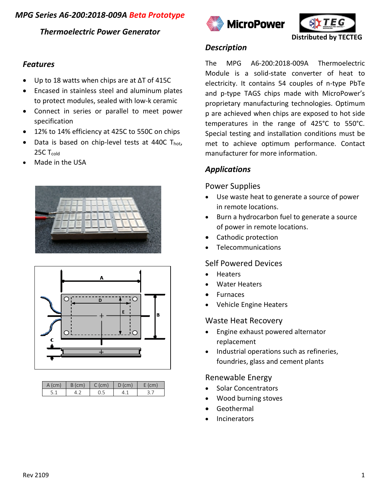# *MPG Series A6-200:2018-009A Beta Prototype*

## *Thermoelectric Power Generator*

## *Features*

- Up to 18 watts when chips are at ∆T of 415C
- Encased in stainless steel and aluminum plates to protect modules, sealed with low-k ceramic
- Connect in series or parallel to meet power specification
- 12% to 14% efficiency at 425C to 550C on chips
- Data is based on chip-level tests at 440C  $T_{hot}$ , 25C T<sub>cold</sub>
- Made in the USA





| A (cm) | B (cm) | C (cm) | $D$ (cm) |  |
|--------|--------|--------|----------|--|
|        |        |        |          |  |





## *Description*

The MPG A6-200:2018-009A Thermoelectric Module is a solid-state converter of heat to electricity. It contains 54 couples of n-type PbTe and p-type TAGS chips made with MicroPower's proprietary manufacturing technologies. Optimum p are achieved when chips are exposed to hot side temperatures in the range of 425°C to 550°C. Special testing and installation conditions must be met to achieve optimum performance. Contact manufacturer for more information.

# *Applications*

## Power Supplies

- Use waste heat to generate a source of power in remote locations.
- Burn a hydrocarbon fuel to generate a source of power in remote locations.
- Cathodic protection
- Telecommunications

## Self Powered Devices

- Heaters
- **Water Heaters**
- **Furnaces**
- Vehicle Engine Heaters

### Waste Heat Recovery

- Engine exhaust powered alternator replacement
- Industrial operations such as refineries, foundries, glass and cement plants

### Renewable Energy

- Solar Concentrators
- Wood burning stoves
- **Geothermal**
- **Incinerators**